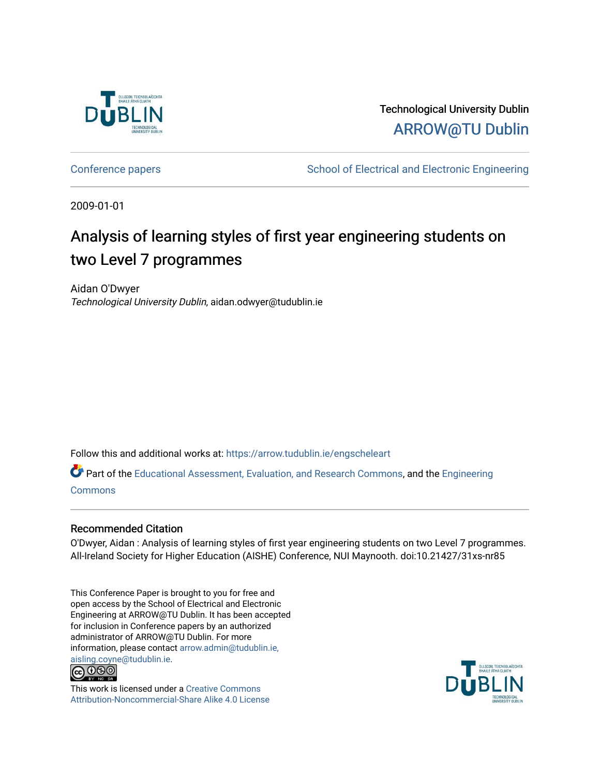

Technological University Dublin [ARROW@TU Dublin](https://arrow.tudublin.ie/) 

[Conference papers](https://arrow.tudublin.ie/engscheleart) **School of Electrical and Electronic Engineering** 

2009-01-01

# Analysis of learning styles of first year engineering students on two Level 7 programmes

Aidan O'Dwyer Technological University Dublin, aidan.odwyer@tudublin.ie

Follow this and additional works at: [https://arrow.tudublin.ie/engscheleart](https://arrow.tudublin.ie/engscheleart?utm_source=arrow.tudublin.ie%2Fengscheleart%2F111&utm_medium=PDF&utm_campaign=PDFCoverPages) 

Part of the [Educational Assessment, Evaluation, and Research Commons](http://network.bepress.com/hgg/discipline/796?utm_source=arrow.tudublin.ie%2Fengscheleart%2F111&utm_medium=PDF&utm_campaign=PDFCoverPages), and the [Engineering](http://network.bepress.com/hgg/discipline/217?utm_source=arrow.tudublin.ie%2Fengscheleart%2F111&utm_medium=PDF&utm_campaign=PDFCoverPages)  **[Commons](http://network.bepress.com/hgg/discipline/217?utm_source=arrow.tudublin.ie%2Fengscheleart%2F111&utm_medium=PDF&utm_campaign=PDFCoverPages)** 

### Recommended Citation

O'Dwyer, Aidan : Analysis of learning styles of first year engineering students on two Level 7 programmes. All-Ireland Society for Higher Education (AISHE) Conference, NUI Maynooth. doi:10.21427/31xs-nr85

This Conference Paper is brought to you for free and open access by the School of Electrical and Electronic Engineering at ARROW@TU Dublin. It has been accepted for inclusion in Conference papers by an authorized administrator of ARROW@TU Dublin. For more information, please contact [arrow.admin@tudublin.ie,](mailto:arrow.admin@tudublin.ie,%20aisling.coyne@tudublin.ie)  [aisling.coyne@tudublin.ie.](mailto:arrow.admin@tudublin.ie,%20aisling.coyne@tudublin.ie)<br>© 090



This work is licensed under a [Creative Commons](http://creativecommons.org/licenses/by-nc-sa/4.0/) [Attribution-Noncommercial-Share Alike 4.0 License](http://creativecommons.org/licenses/by-nc-sa/4.0/)

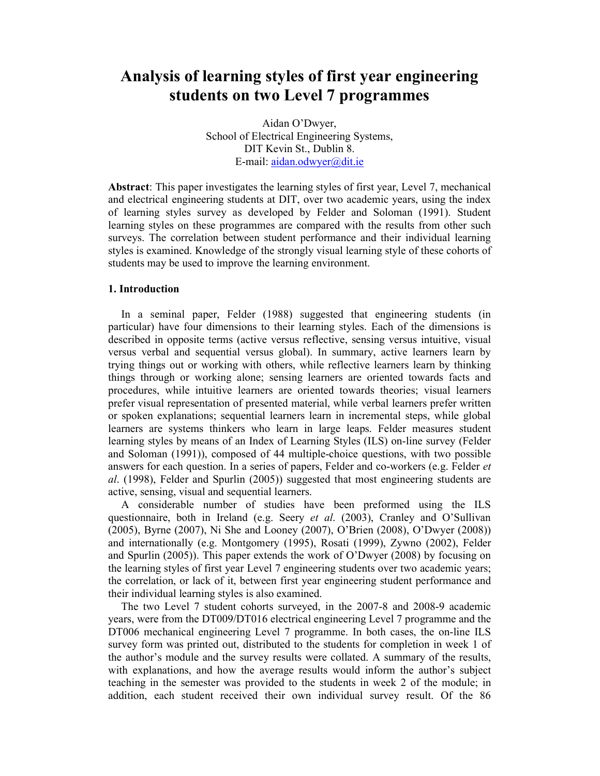## **Analysis of learning styles of first year engineering students on two Level 7 programmes**

Aidan O'Dwyer, School of Electrical Engineering Systems, DIT Kevin St., Dublin 8. E-mail: aidan.odwyer@dit.ie

**Abstract**: This paper investigates the learning styles of first year, Level 7, mechanical and electrical engineering students at DIT, over two academic years, using the index of learning styles survey as developed by Felder and Soloman (1991). Student learning styles on these programmes are compared with the results from other such surveys. The correlation between student performance and their individual learning styles is examined. Knowledge of the strongly visual learning style of these cohorts of students may be used to improve the learning environment.

#### **1. Introduction**

In a seminal paper, Felder (1988) suggested that engineering students (in particular) have four dimensions to their learning styles. Each of the dimensions is described in opposite terms (active versus reflective, sensing versus intuitive, visual versus verbal and sequential versus global). In summary, active learners learn by trying things out or working with others, while reflective learners learn by thinking things through or working alone; sensing learners are oriented towards facts and procedures, while intuitive learners are oriented towards theories; visual learners prefer visual representation of presented material, while verbal learners prefer written or spoken explanations; sequential learners learn in incremental steps, while global learners are systems thinkers who learn in large leaps. Felder measures student learning styles by means of an Index of Learning Styles (ILS) on-line survey (Felder and Soloman (1991)), composed of 44 multiple-choice questions, with two possible answers for each question. In a series of papers, Felder and co-workers (e.g. Felder *et al*. (1998), Felder and Spurlin (2005)) suggested that most engineering students are active, sensing, visual and sequential learners.

A considerable number of studies have been preformed using the ILS questionnaire, both in Ireland (e.g. Seery *et al*. (2003), Cranley and O'Sullivan (2005), Byrne (2007), Ni She and Looney (2007), O'Brien (2008), O'Dwyer (2008)) and internationally (e.g. Montgomery (1995), Rosati (1999), Zywno (2002), Felder and Spurlin (2005)). This paper extends the work of O'Dwyer (2008) by focusing on the learning styles of first year Level 7 engineering students over two academic years; the correlation, or lack of it, between first year engineering student performance and their individual learning styles is also examined.

The two Level 7 student cohorts surveyed, in the 2007-8 and 2008-9 academic years, were from the DT009/DT016 electrical engineering Level 7 programme and the DT006 mechanical engineering Level 7 programme. In both cases, the on-line ILS survey form was printed out, distributed to the students for completion in week 1 of the author's module and the survey results were collated. A summary of the results, with explanations, and how the average results would inform the author's subject teaching in the semester was provided to the students in week 2 of the module; in addition, each student received their own individual survey result. Of the 86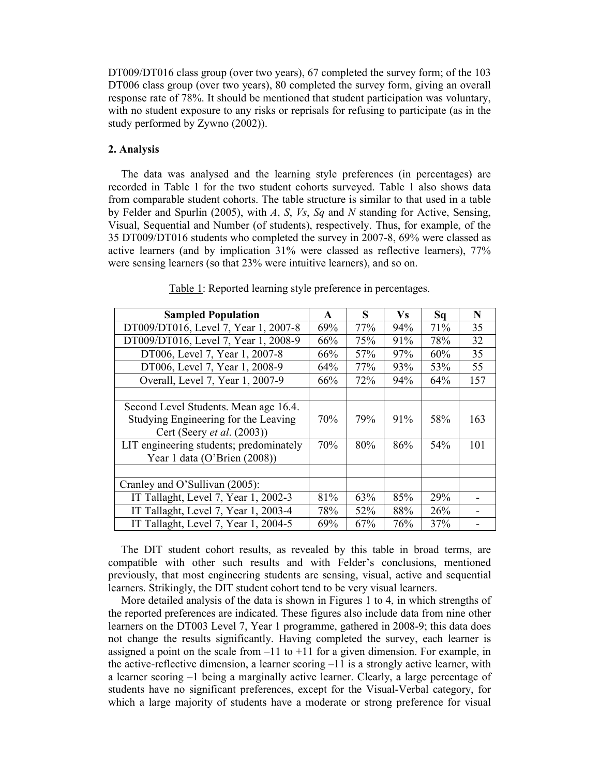DT009/DT016 class group (over two years), 67 completed the survey form; of the 103 DT006 class group (over two years), 80 completed the survey form, giving an overall response rate of 78%. It should be mentioned that student participation was voluntary, with no student exposure to any risks or reprisals for refusing to participate (as in the study performed by Zywno (2002)).

#### **2. Analysis**

The data was analysed and the learning style preferences (in percentages) are recorded in Table 1 for the two student cohorts surveyed. Table 1 also shows data from comparable student cohorts. The table structure is similar to that used in a table by Felder and Spurlin (2005), with *A*, *S*, *Vs*, *Sq* and *N* standing for Active, Sensing, Visual, Sequential and Number (of students), respectively. Thus, for example, of the 35 DT009/DT016 students who completed the survey in 2007-8, 69% were classed as active learners (and by implication 31% were classed as reflective learners), 77% were sensing learners (so that 23% were intuitive learners), and so on.

| <b>Sampled Population</b>                                                                                   | $\mathbf{A}$ | S   | <b>Vs</b> | Sq  | N   |
|-------------------------------------------------------------------------------------------------------------|--------------|-----|-----------|-----|-----|
| DT009/DT016, Level 7, Year 1, 2007-8                                                                        | 69%          | 77% | 94%       | 71% | 35  |
| DT009/DT016, Level 7, Year 1, 2008-9                                                                        | 66%          | 75% | 91%       | 78% | 32  |
| DT006, Level 7, Year 1, 2007-8                                                                              | 66%          | 57% | 97%       | 60% | 35  |
| DT006, Level 7, Year 1, 2008-9                                                                              | 64%          | 77% | 93%       | 53% | 55  |
| Overall, Level 7, Year 1, 2007-9                                                                            | 66%          | 72% | 94%       | 64% | 157 |
|                                                                                                             |              |     |           |     |     |
| Second Level Students. Mean age 16.4.<br>Studying Engineering for the Leaving<br>Cert (Seery et al. (2003)) | 70%          | 79% | 91%       | 58% | 163 |
| LIT engineering students; predominately<br>Year 1 data (O'Brien (2008))                                     | 70%          | 80% | 86%       | 54% | 101 |
| Cranley and O'Sullivan (2005):                                                                              |              |     |           |     |     |
| IT Tallaght, Level 7, Year 1, 2002-3                                                                        | 81%          | 63% | 85%       | 29% |     |
| IT Tallaght, Level 7, Year 1, 2003-4                                                                        | 78%          | 52% | 88%       | 26% |     |
| IT Tallaght, Level 7, Year 1, 2004-5                                                                        | 69%          | 67% | 76%       | 37% |     |

Table 1: Reported learning style preference in percentages.

The DIT student cohort results, as revealed by this table in broad terms, are compatible with other such results and with Felder's conclusions, mentioned previously, that most engineering students are sensing, visual, active and sequential learners. Strikingly, the DIT student cohort tend to be very visual learners.

More detailed analysis of the data is shown in Figures 1 to 4, in which strengths of the reported preferences are indicated. These figures also include data from nine other learners on the DT003 Level 7, Year 1 programme, gathered in 2008-9; this data does not change the results significantly. Having completed the survey, each learner is assigned a point on the scale from  $-11$  to  $+11$  for a given dimension. For example, in the active-reflective dimension, a learner scoring  $-11$  is a strongly active learner, with a learner scoring –1 being a marginally active learner. Clearly, a large percentage of students have no significant preferences, except for the Visual-Verbal category, for which a large majority of students have a moderate or strong preference for visual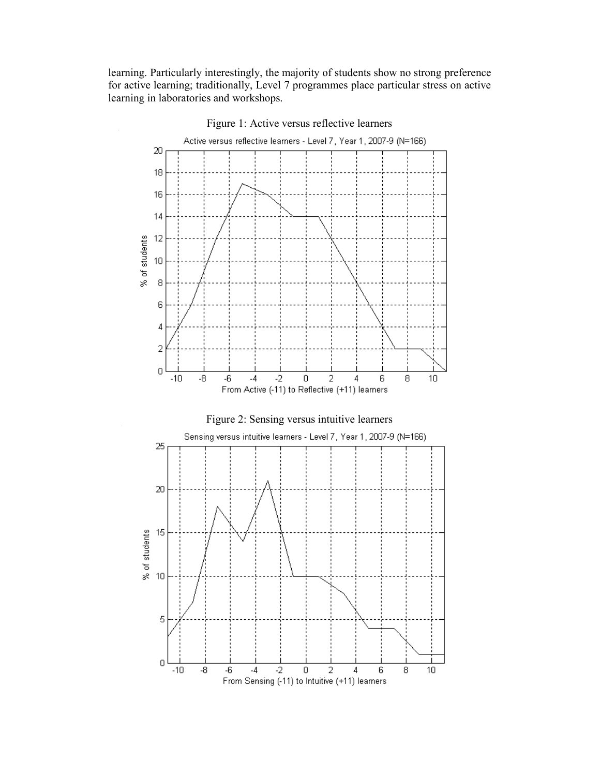learning. Particularly interestingly, the majority of students show no strong preference for active learning; traditionally, Level 7 programmes place particular stress on active learning in laboratories and workshops.



Figure 1: Active versus reflective learners

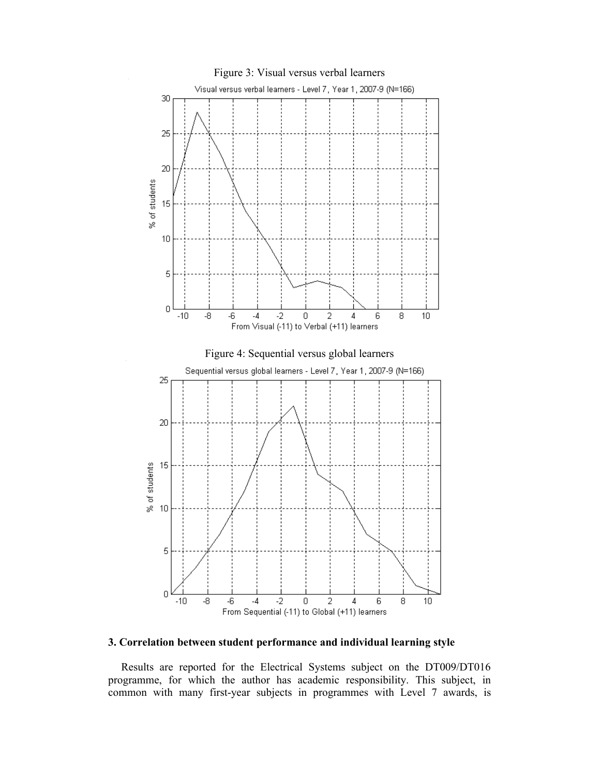

#### **3. Correlation between student performance and individual learning style**

Results are reported for the Electrical Systems subject on the DT009/DT016 programme, for which the author has academic responsibility. This subject, in common with many first-year subjects in programmes with Level 7 awards, is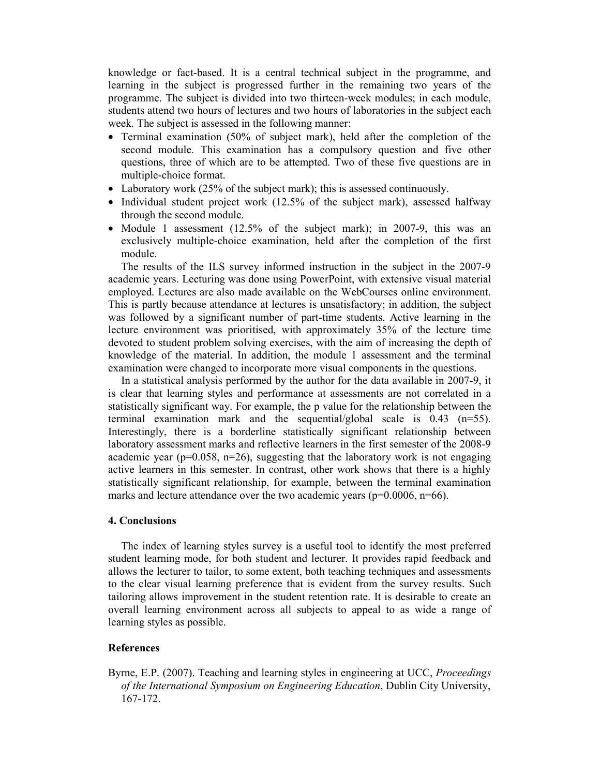knowledge or fact-based. It is a central technical subject in the programme, and learning in the subject is progressed further in the remaining two years of the programme. The subject is divided into two thirteen-week modules; in each module, students attend two hours of lectures and two hours of laboratories in the subject each week. The subject is assessed in the following manner:

- Terminal examination (50% of subject mark), held after the completion of the second module. This examination has a compulsory question and five other questions, three of which are to be attempted. Two of these five questions are in multiple-choice format.
- Laboratory work (25% of the subject mark); this is assessed continuously.
- Individual student project work (12.5% of the subject mark), assessed halfway through the second module.
- Module 1 assessment (12.5% of the subject mark); in 2007-9, this was an exclusively multiple-choice examination, held after the completion of the first module.

The results of the ILS survey informed instruction in the subject in the 2007-9 academic years. Lecturing was done using PowerPoint, with extensive visual material employed. Lectures are also made available on the WebCourses online environment. This is partly because attendance at lectures is unsatisfactory; in addition, the subject was followed by a significant number of part-time students. Active learning in the lecture environment was prioritised, with approximately 35% of the lecture time devoted to student problem solving exercises, with the aim of increasing the depth of knowledge of the material. In addition, the module 1 assessment and the terminal examination were changed to incorporate more visual components in the questions.

In a statistical analysis performed by the author for the data available in 2007-9, it is clear that learning styles and performance at assessments are not correlated in a statistically significant way. For example, the p value for the relationship between the terminal examination mark and the sequential/global scale is  $0.43$  ( $n=55$ ). Interestingly, there is a borderline statistically significant relationship between laboratory assessment marks and reflective learners in the first semester of the 2008-9 academic year ( $p=0.058$ ,  $n=26$ ), suggesting that the laboratory work is not engaging active learners in this semester. In contrast, other work shows that there is a highly statistically significant relationship, for example, between the terminal examination marks and lecture attendance over the two academic years ( $p=0.0006$ ,  $n=66$ ).

#### **4. Conclusions**

The index of learning styles survey is a useful tool to identify the most preferred student learning mode, for both student and lecturer. It provides rapid feedback and allows the lecturer to tailor, to some extent, both teaching techniques and assessments to the clear visual learning preference that is evident from the survey results. Such tailoring allows improvement in the student retention rate. It is desirable to create an overall learning environment across all subjects to appeal to as wide a range of learning styles as possible.

#### **References**

Byrne, E.P. (2007). Teaching and learning styles in engineering at UCC, *Proceedings of the International Symposium on Engineering Education*, Dublin City University, 167-172.